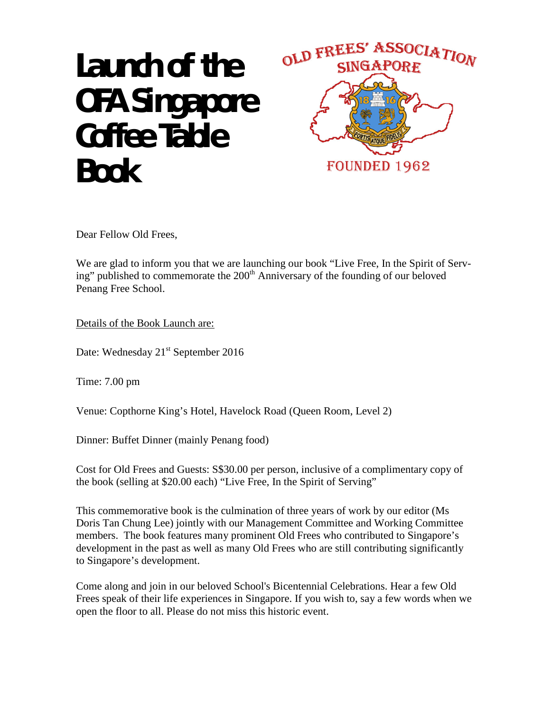## Launch of the **OFA Singapore Coffee Table Book**



Dear Fellow Old Frees,

We are glad to inform you that we are launching our book "Live Free, In the Spirit of Serving" published to commemorate the 200<sup>th</sup> Anniversary of the founding of our beloved Penang Free School.

Details of the Book Launch are:

Date: Wednesday 21<sup>st</sup> September 2016

Time: 7.00 pm

Venue: Copthorne King's Hotel, Havelock Road (Queen Room, Level 2)

Dinner: Buffet Dinner (mainly Penang food)

Cost for Old Frees and Guests: S\$30.00 per person, inclusive of a complimentary copy of the book (selling at \$20.00 each) "Live Free, In the Spirit of Serving"

This commemorative book is the culmination of three years of work by our editor (Ms Doris Tan Chung Lee) jointly with our Management Committee and Working Committee members. The book features many prominent Old Frees who contributed to Singapore's development in the past as well as many Old Frees who are still contributing significantly to Singapore's development.

Come along and join in our beloved School's Bicentennial Celebrations. Hear a few Old Frees speak of their life experiences in Singapore. If you wish to, say a few words when we open the floor to all. Please do not miss this historic event.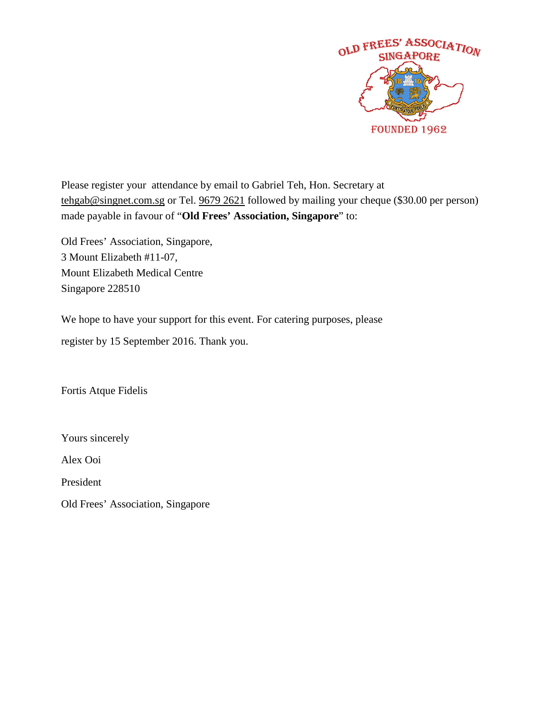

Please register your attendance by email to Gabriel Teh, Hon. Secretary at [tehgab@singnet.com.sg](mailto:tehgab@singnet.com.sg) or Tel. 9679 2621 followed by mailing your cheque (\$30.00 per person) made payable in favour of "**Old Frees' Association, Singapore**" to:

Old Frees' Association, Singapore, 3 Mount Elizabeth #11-07, Mount Elizabeth Medical Centre Singapore 228510

We hope to have your support for this event. For catering purposes, please

register by 15 September 2016. Thank you.

Fortis Atque Fidelis

Yours sincerely

Alex Ooi

President

Old Frees' Association, Singapore